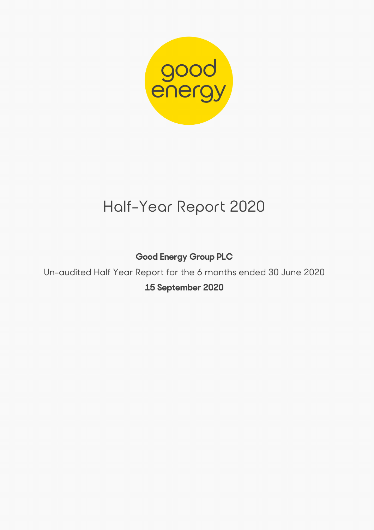

# Half-Year Report 2020

**Good Energy Group PLC** 

Un-audited Half Year Report for the 6 months ended 30 June 2020 **15 September 2020**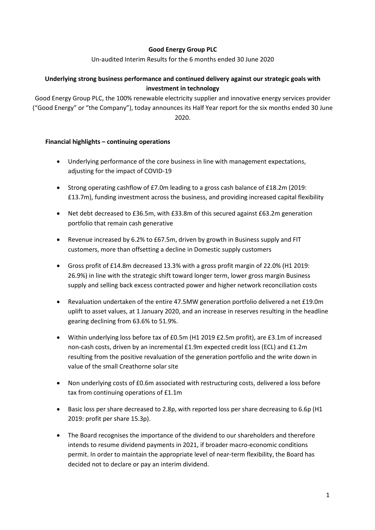## **Good Energy Group PLC**

Un-audited Interim Results for the 6 months ended 30 June 2020

## **Underlying strong business performance and continued delivery against our strategic goals with investment in technology**

Good Energy Group PLC, the 100% renewable electricity supplier and innovative energy services provider ("Good Energy" or "the Company"), today announces its Half Year report for the six months ended 30 June 2020.

## **Financial highlights – continuing operations**

- Underlying performance of the core business in line with management expectations, adiusting for the impact of COVID-19
- Strong operating cashflow of £7.0m leading to a gross cash balance of £18.2m (2019: £13.7m), funding investment across the business, and providing increased capital flexibility
- Net debt decreased to £36.5m, with £33.8m of this secured against £63.2m generation portfolio that remain cash generative
- Revenue increased by 6.2% to £67.5m, driven by growth in Business supply and FIT customers, more than offsetting a decline in Domestic supply customers
- Gross profit of £14.8m decreased 13.3% with a gross profit margin of 22.0% (H1 2019: 26.9%) in line with the strategic shift toward longer term, lower gross margin Business supply and selling back excess contracted power and higher network reconciliation costs
- Revaluation undertaken of the entire 47.5MW generation portfolio delivered a net £19.0m uplift to asset values, at 1 January 2020, and an increase in reserves resulting in the headline gearing declining from 63.6% to 51.9%.
- Within underlying loss before tax of £0.5m (H1 2019 £2.5m profit), are £3.1m of increased non-cash costs, driven by an incremental £1.9m expected credit loss (ECL) and £1.2m resulting from the positive revaluation of the generation portfolio and the write down in value of the small Creathorne solar site
- Non underlying costs of £0.6m associated with restructuring costs, delivered a loss before tax from continuing operations of £1.1m
- Basic loss per share decreased to 2.8p, with reported loss per share decreasing to 6.6p (H1 2019: profit per share 15.3p).
- The Board recognises the importance of the dividend to our shareholders and therefore intends to resume dividend payments in 2021, if broader macro-economic conditions permit. In order to maintain the appropriate level of near-term flexibility, the Board has decided not to declare or pay an interim dividend.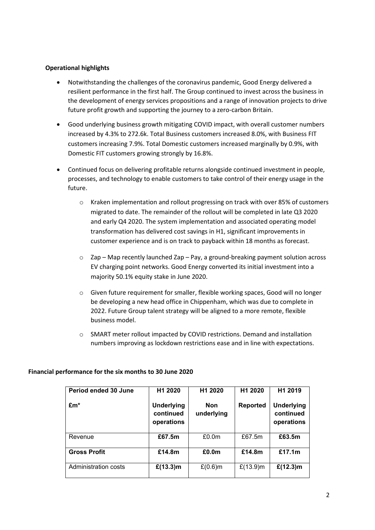## **Operational highlights**

- Notwithstanding the challenges of the coronavirus pandemic, Good Energy delivered a resilient performance in the first half. The Group continued to invest across the business in the development of energy services propositions and a range of innovation projects to drive future profit growth and supporting the journey to a zero-carbon Britain.
- Good underlying business growth mitigating COVID impact, with overall customer numbers increased by 4.3% to 272.6k. Total Business customers increased 8.0%, with Business FIT customers increasing 7.9%. Total Domestic customers increased marginally by 0.9%, with Domestic FIT customers growing strongly by 16.8%.
- Continued focus on delivering profitable returns alongside continued investment in people, processes, and technology to enable customers to take control of their energy usage in the future.
	- $\circ$  Kraken implementation and rollout progressing on track with over 85% of customers migrated to date. The remainder of the rollout will be completed in late Q3 2020 and early Q4 2020. The system implementation and associated operating model transformation has delivered cost savings in H1, significant improvements in customer experience and is on track to payback within 18 months as forecast.
	- $\circ$  Zap Map recently launched Zap Pay, a ground-breaking payment solution across EV charging point networks. Good Energy converted its initial investment into a majority 50.1% equity stake in June 2020.
	- o Given future requirement for smaller, flexible working spaces, Good will no longer be developing a new head office in Chippenham, which was due to complete in 2022. Future Group talent strategy will be aligned to a more remote, flexible business model.
	- o SMART meter rollout impacted by COVID restrictions. Demand and installation numbers improving as lockdown restrictions ease and in line with expectations.

| Period ended 30 June | H <sub>1</sub> 2020                          | H1 2020                  | H <sub>1</sub> 2020 | H <sub>1</sub> 2019                          |
|----------------------|----------------------------------------------|--------------------------|---------------------|----------------------------------------------|
| $Em*$                | <b>Underlying</b><br>continued<br>operations | <b>Non</b><br>underlying | <b>Reported</b>     | <b>Underlying</b><br>continued<br>operations |
| Revenue              | £67.5m                                       | £0.0 <sub>m</sub>        | £67.5m              | £63.5m                                       |
| <b>Gross Profit</b>  | £14.8m                                       | £0.0 <sub>m</sub>        | £14.8m              | £17.1m                                       |
| Administration costs | £(13.3)m                                     | $£(0.6)$ m               | £ $(13.9)$ m        | £(12.3) m                                    |

#### **Financial performance for the six months to 30 June 2020**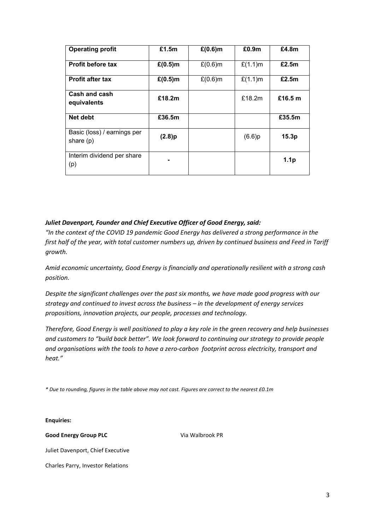| <b>Operating profit</b>                    | £1.5m      | $£(0.6)$ m | £0.9 <sub>m</sub> | £4.8m            |
|--------------------------------------------|------------|------------|-------------------|------------------|
| <b>Profit before tax</b>                   | $£(0.5)$ m | $£(0.6)$ m | $£(1.1)$ m        | £2.5m            |
| <b>Profit after tax</b>                    | $£(0.5)$ m | $£(0.6)$ m | $£(1.1)$ m        | £2.5m            |
| Cash and cash<br>equivalents               | £18.2m     |            | £18.2m            | £16.5 $m$        |
| Net debt                                   | £36.5m     |            |                   | £35.5m           |
| Basic (loss) / earnings per<br>share $(p)$ | (2.8)p     |            | (6.6)p            | 15.3p            |
| Interim dividend per share<br>(p)          |            |            |                   | 1.1 <sub>p</sub> |

## *Juliet Davenport, Founder and Chief Executive Officer of Good Energy, said:*

*"In the context of the COVID 19 pandemic Good Energy has delivered a strong performance in the first half of the year, with total customer numbers up, driven by continued business and Feed in Tariff growth.*

*Amid economic uncertainty, Good Energy is financially and operationally resilient with a strong cash position.* 

*Despite the significant challenges over the past six months, we have made good progress with our strategy and continued to invest across the business – in the development of energy services propositions, innovation projects, our people, processes and technology.* 

*Therefore, Good Energy is well positioned to play a key role in the green recovery and help businesses and customers to "build back better". We look forward to continuing our strategy to provide people and organisations with the tools to have a zero-carbon footprint across electricity, transport and heat."* 

*\* Due to rounding, figures in the table above may not cast. Figures are correct to the nearest £0.1m*

**Enquiries:**

**Good Energy Group PLC**

Via Walbrook PR

Juliet Davenport, Chief Executive

Charles Parry, Investor Relations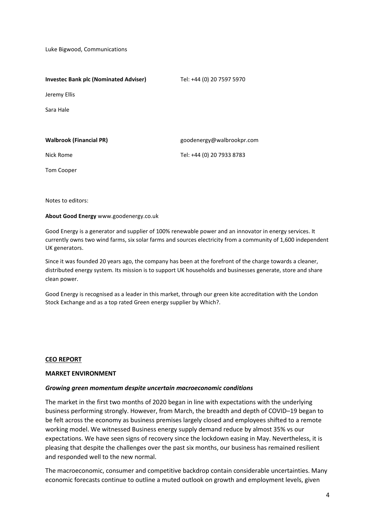Luke Bigwood, Communications

| <b>Investec Bank plc (Nominated Adviser)</b> | Tel: +44 (0) 20 7597 5970 |
|----------------------------------------------|---------------------------|
| Jeremy Ellis                                 |                           |
| Sara Hale                                    |                           |
|                                              |                           |
| <b>Walbrook (Financial PR)</b>               | goodenergy@walbrookpr.com |
| Nick Rome                                    | Tel: +44 (0) 20 7933 8783 |
| <b>Tom Cooper</b>                            |                           |

Notes to editors:

**About Good Energy** www.goodenergy.co.uk

Good Energy is a generator and supplier of 100% renewable power and an innovator in energy services. It currently owns two wind farms, six solar farms and sources electricity from a community of 1,600 independent UK generators.

Since it was founded 20 years ago, the company has been at the forefront of the charge towards a cleaner, distributed energy system. Its mission is to support UK households and businesses generate, store and share clean power.

Good Energy is recognised as a leader in this market, through our green kite accreditation with the London Stock Exchange and as a top rated Green energy supplier by Which?.

#### **CEO REPORT**

#### **MARKET ENVIRONMENT**

#### *Growing green momentum despite uncertain macroeconomic conditions*

The market in the first two months of 2020 began in line with expectations with the underlying business performing strongly. However, from March, the breadth and depth of COVID–19 began to be felt across the economy as business premises largely closed and employees shifted to a remote working model. We witnessed Business energy supply demand reduce by almost 35% vs our expectations. We have seen signs of recovery since the lockdown easing in May. Nevertheless, it is pleasing that despite the challenges over the past six months, our business has remained resilient and responded well to the new normal.

The macroeconomic, consumer and competitive backdrop contain considerable uncertainties. Many economic forecasts continue to outline a muted outlook on growth and employment levels, given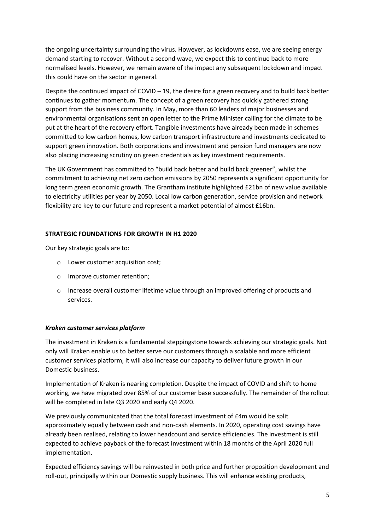the ongoing uncertainty surrounding the virus. However, as lockdowns ease, we are seeing energy demand starting to recover. Without a second wave, we expect this to continue back to more normalised levels. However, we remain aware of the impact any subsequent lockdown and impact this could have on the sector in general.

Despite the continued impact of COVID – 19, the desire for a green recovery and to build back better continues to gather momentum. The concept of a green recovery has quickly gathered strong support from the business community. In May, more than 60 leaders of major businesses and environmental organisations sent an open letter to the Prime Minister calling for the climate to be put at the heart of the recovery effort. Tangible investments have already been made in schemes committed to low carbon homes, low carbon transport infrastructure and investments dedicated to support green innovation. Both corporations and investment and pension fund managers are now also placing increasing scrutiny on green credentials as key investment requirements.

The UK Government has committed to "build back better and build back greener", whilst the commitment to achieving net zero carbon emissions by 2050 represents a significant opportunity for long term green economic growth. The Grantham institute highlighted £21bn of new value available to electricity utilities per year by 2050. Local low carbon generation, service provision and network flexibility are key to our future and represent a market potential of almost £16bn.

#### **STRATEGIC FOUNDATIONS FOR GROWTH IN H1 2020**

Our key strategic goals are to:

- o Lower customer acquisition cost;
- o Improve customer retention;
- $\circ$  Increase overall customer lifetime value through an improved offering of products and services.

#### *Kraken customer services platform*

The investment in Kraken is a fundamental steppingstone towards achieving our strategic goals. Not only will Kraken enable us to better serve our customers through a scalable and more efficient customer services platform, it will also increase our capacity to deliver future growth in our Domestic business.

Implementation of Kraken is nearing completion. Despite the impact of COVID and shift to home working, we have migrated over 85% of our customer base successfully. The remainder of the rollout will be completed in late Q3 2020 and early Q4 2020.

We previously communicated that the total forecast investment of £4m would be split approximately equally between cash and non-cash elements. In 2020, operating cost savings have already been realised, relating to lower headcount and service efficiencies. The investment is still expected to achieve payback of the forecast investment within 18 months of the April 2020 full implementation.

Expected efficiency savings will be reinvested in both price and further proposition development and roll-out, principally within our Domestic supply business. This will enhance existing products,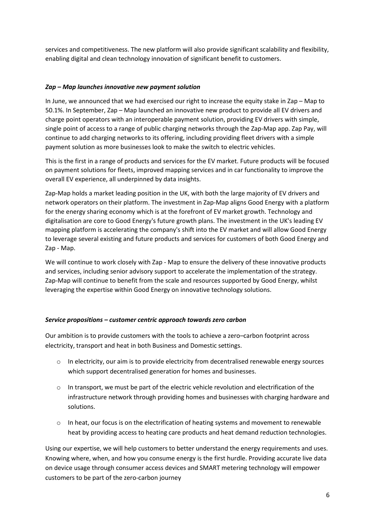services and competitiveness. The new platform will also provide significant scalability and flexibility, enabling digital and clean technology innovation of significant benefit to customers.

## *Zap – Map launches innovative new payment solution*

In June, we announced that we had exercised our right to increase the equity stake in Zap – Map to 50.1%. In September, Zap – Map launched an innovative new product to provide all EV drivers and charge point operators with an interoperable payment solution, providing EV drivers with simple, single point of access to a range of public charging networks through the Zap-Map app. Zap Pay, will continue to add charging networks to its offering, including providing fleet drivers with a simple payment solution as more businesses look to make the switch to electric vehicles.

This is the first in a range of products and services for the EV market. Future products will be focused on payment solutions for fleets, improved mapping services and in car functionality to improve the overall EV experience, all underpinned by data insights.

Zap-Map holds a market leading position in the UK, with both the large majority of EV drivers and network operators on their platform. The investment in Zap-Map aligns Good Energy with a platform for the energy sharing economy which is at the forefront of EV market growth. Technology and digitalisation are core to Good Energy's future growth plans. The investment in the UK's leading EV mapping platform is accelerating the company's shift into the EV market and will allow Good Energy to leverage several existing and future products and services for customers of both Good Energy and Zap - Map.

We will continue to work closely with Zap - Map to ensure the delivery of these innovative products and services, including senior advisory support to accelerate the implementation of the strategy. Zap-Map will continue to benefit from the scale and resources supported by Good Energy, whilst leveraging the expertise within Good Energy on innovative technology solutions.

## *Service propositions – customer centric approach towards zero carbon*

Our ambition is to provide customers with the tools to achieve a zero–carbon footprint across electricity, transport and heat in both Business and Domestic settings.

- $\circ$  In electricity, our aim is to provide electricity from decentralised renewable energy sources which support decentralised generation for homes and businesses.
- $\circ$  In transport, we must be part of the electric vehicle revolution and electrification of the infrastructure network through providing homes and businesses with charging hardware and solutions.
- o In heat, our focus is on the electrification of heating systems and movement to renewable heat by providing access to heating care products and heat demand reduction technologies.

Using our expertise, we will help customers to better understand the energy requirements and uses. Knowing where, when, and how you consume energy is the first hurdle. Providing accurate live data on device usage through consumer access devices and SMART metering technology will empower customers to be part of the zero-carbon journey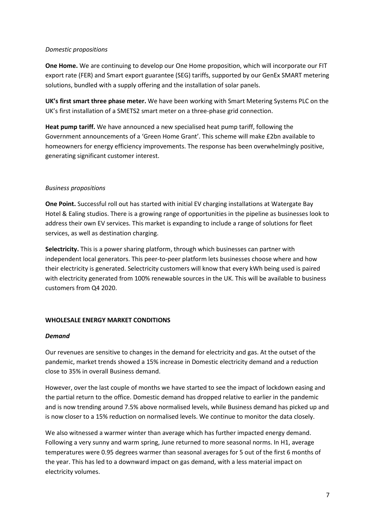#### *Domestic propositions*

**One Home.** We are continuing to develop our One Home proposition, which will incorporate our FIT export rate (FER) and Smart export guarantee (SEG) tariffs, supported by our GenEx SMART metering solutions, bundled with a supply offering and the installation of solar panels.

**UK's first smart three phase meter.** We have been working with Smart Metering Systems PLC on the UK's first installation of a SMETS2 smart meter on a three-phase grid connection.

**Heat pump tariff.** We have announced a new specialised heat pump tariff, following the Government announcements of a 'Green Home Grant'. This scheme will make £2bn available to homeowners for energy efficiency improvements. The response has been overwhelmingly positive, generating significant customer interest.

## *Business propositions*

**One Point.** Successful roll out has started with initial EV charging installations at Watergate Bay Hotel & Ealing studios. There is a growing range of opportunities in the pipeline as businesses look to address their own EV services. This market is expanding to include a range of solutions for fleet services, as well as destination charging.

**Selectricity.** This is a power sharing platform, through which businesses can partner with independent local generators. This peer-to-peer platform lets businesses choose where and how their electricity is generated. Selectricity customers will know that every kWh being used is paired with electricity generated from 100% renewable sources in the UK. This will be available to business customers from Q4 2020.

## **WHOLESALE ENERGY MARKET CONDITIONS**

## *Demand*

Our revenues are sensitive to changes in the demand for electricity and gas. At the outset of the pandemic, market trends showed a 15% increase in Domestic electricity demand and a reduction close to 35% in overall Business demand.

However, over the last couple of months we have started to see the impact of lockdown easing and the partial return to the office. Domestic demand has dropped relative to earlier in the pandemic and is now trending around 7.5% above normalised levels, while Business demand has picked up and is now closer to a 15% reduction on normalised levels. We continue to monitor the data closely.

We also witnessed a warmer winter than average which has further impacted energy demand. Following a very sunny and warm spring, June returned to more seasonal norms. In H1, average temperatures were 0.95 degrees warmer than seasonal averages for 5 out of the first 6 months of the year. This has led to a downward impact on gas demand, with a less material impact on electricity volumes.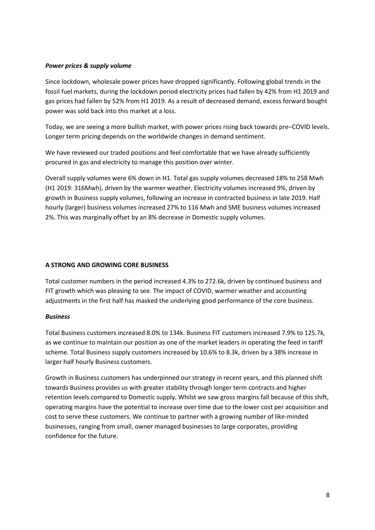#### *Power prices & supply volume*

Since lockdown, wholesale power prices have dropped significantly. Following global trends in the fossil fuel markets, during the lockdown period electricity prices had fallen by 42% from H1 2019 and gas prices had fallen by 52% from H1 2019. As a result of decreased demand, excess forward bought power was sold back into this market at a loss.

Today, we are seeing a more bullish market, with power prices rising back towards pre–COVID levels. Longer term pricing depends on the worldwide changes in demand sentiment.

We have reviewed our traded positions and feel comfortable that we have already sufficiently procured in gas and electricity to manage this position over winter.

Overall supply volumes were 6% down in H1. Total gas supply volumes decreased 18% to 258 Mwh (H1 2019: 316Mwh), driven by the warmer weather. Electricity volumes increased 9%, driven by growth in Business supply volumes, following an increase in contracted business in late 2019. Half hourly (larger) business volumes increased 27% to 116 Mwh and SME business volumes increased 2%. This was marginally offset by an 8% decrease in Domestic supply volumes.

## **A STRONG AND GROWING CORE BUSINESS**

Total customer numbers in the period increased 4.3% to 272.6k, driven by continued business and FIT growth which was pleasing to see. The impact of COVID, warmer weather and accounting adjustments in the first half has masked the underlying good performance of the core business.

#### *Business*

Total Business customers increased 8.0% to 134k. Business FIT customers increased 7.9% to 125.7k, as we continue to maintain our position as one of the market leaders in operating the feed in tariff scheme. Total Business supply customers increased by 10.6% to 8.3k, driven by a 38% increase in larger half hourly Business customers.

Growth in Business customers has underpinned our strategy in recent years, and this planned shift towards Business provides us with greater stability through longer term contracts and higher retention levels compared to Domestic supply. Whilst we saw gross margins fall because of this shift, operating margins have the potential to increase over time due to the lower cost per acquisition and cost to serve these customers. We continue to partner with a growing number of like-minded businesses, ranging from small, owner managed businesses to large corporates, providing confidence for the future.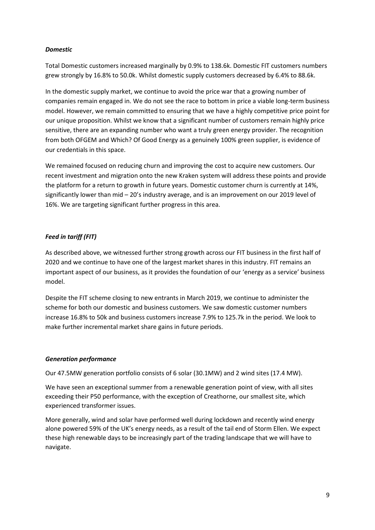#### *Domestic*

Total Domestic customers increased marginally by 0.9% to 138.6k. Domestic FIT customers numbers grew strongly by 16.8% to 50.0k. Whilst domestic supply customers decreased by 6.4% to 88.6k.

In the domestic supply market, we continue to avoid the price war that a growing number of companies remain engaged in. We do not see the race to bottom in price a viable long-term business model. However, we remain committed to ensuring that we have a highly competitive price point for our unique proposition. Whilst we know that a significant number of customers remain highly price sensitive, there are an expanding number who want a truly green energy provider. The recognition from both OFGEM and Which? Of Good Energy as a genuinely 100% green supplier, is evidence of our credentials in this space.

We remained focused on reducing churn and improving the cost to acquire new customers. Our recent investment and migration onto the new Kraken system will address these points and provide the platform for a return to growth in future years. Domestic customer churn is currently at 14%, significantly lower than mid – 20's industry average, and is an improvement on our 2019 level of 16%. We are targeting significant further progress in this area.

## *Feed in tariff (FIT)*

As described above, we witnessed further strong growth across our FIT business in the first half of 2020 and we continue to have one of the largest market shares in this industry. FIT remains an important aspect of our business, as it provides the foundation of our 'energy as a service' business model.

Despite the FIT scheme closing to new entrants in March 2019, we continue to administer the scheme for both our domestic and business customers. We saw domestic customer numbers increase 16.8% to 50k and business customers increase 7.9% to 125.7k in the period. We look to make further incremental market share gains in future periods.

## *Generation performance*

Our 47.5MW generation portfolio consists of 6 solar (30.1MW) and 2 wind sites (17.4 MW).

We have seen an exceptional summer from a renewable generation point of view, with all sites exceeding their P50 performance, with the exception of Creathorne, our smallest site, which experienced transformer issues.

More generally, wind and solar have performed well during lockdown and recently wind energy alone powered 59% of the UK's energy needs, as a result of the tail end of Storm Ellen. We expect these high renewable days to be increasingly part of the trading landscape that we will have to navigate.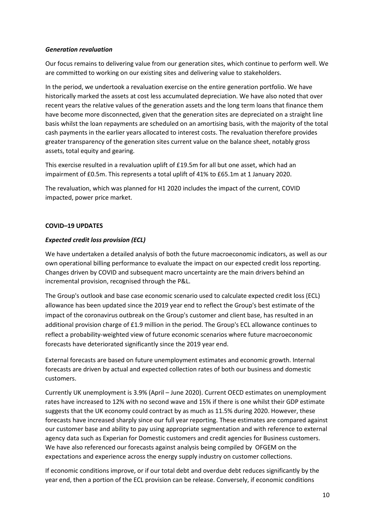#### *Generation revaluation*

Our focus remains to delivering value from our generation sites, which continue to perform well. We are committed to working on our existing sites and delivering value to stakeholders.

In the period, we undertook a revaluation exercise on the entire generation portfolio. We have historically marked the assets at cost less accumulated depreciation. We have also noted that over recent years the relative values of the generation assets and the long term loans that finance them have become more disconnected, given that the generation sites are depreciated on a straight line basis whilst the loan repayments are scheduled on an amortising basis, with the majority of the total cash payments in the earlier years allocated to interest costs. The revaluation therefore provides greater transparency of the generation sites current value on the balance sheet, notably gross assets, total equity and gearing.

This exercise resulted in a revaluation uplift of £19.5m for all but one asset, which had an impairment of £0.5m. This represents a total uplift of 41% to £65.1m at 1 January 2020.

The revaluation, which was planned for H1 2020 includes the impact of the current, COVID impacted, power price market.

#### **COVID–19 UPDATES**

#### *Expected credit loss provision (ECL)*

We have undertaken a detailed analysis of both the future macroeconomic indicators, as well as our own operational billing performance to evaluate the impact on our expected credit loss reporting. Changes driven by COVID and subsequent macro uncertainty are the main drivers behind an incremental provision, recognised through the P&L.

The Group's outlook and base case economic scenario used to calculate expected credit loss (ECL) allowance has been updated since the 2019 year end to reflect the Group's best estimate of the impact of the coronavirus outbreak on the Group's customer and client base, has resulted in an additional provision charge of £1.9 million in the period. The Group's ECL allowance continues to reflect a probability-weighted view of future economic scenarios where future macroeconomic forecasts have deteriorated significantly since the 2019 year end.

External forecasts are based on future unemployment estimates and economic growth. Internal forecasts are driven by actual and expected collection rates of both our business and domestic customers.

Currently UK unemployment is 3.9% (April – June 2020). Current OECD estimates on unemployment rates have increased to 12% with no second wave and 15% if there is one whilst their GDP estimate suggests that the UK economy could contract by as much as 11.5% during 2020. However, these forecasts have increased sharply since our full year reporting. These estimates are compared against our customer base and ability to pay using appropriate segmentation and with reference to external agency data such as Experian for Domestic customers and credit agencies for Business customers. We have also referenced our forecasts against analysis being compiled by OFGEM on the expectations and experience across the energy supply industry on customer collections.

If economic conditions improve, or if our total debt and overdue debt reduces significantly by the year end, then a portion of the ECL provision can be release. Conversely, if economic conditions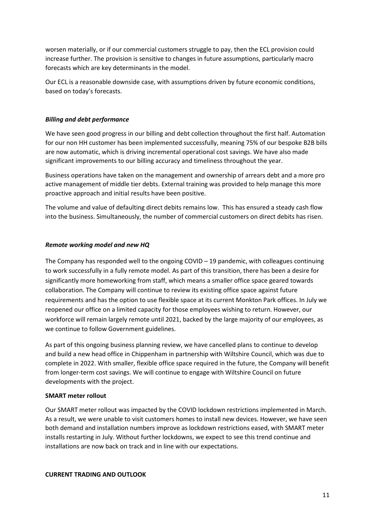worsen materially, or if our commercial customers struggle to pay, then the ECL provision could increase further. The provision is sensitive to changes in future assumptions, particularly macro forecasts which are key determinants in the model.

Our ECL is a reasonable downside case, with assumptions driven by future economic conditions, based on today's forecasts.

#### *Billing and debt performance*

We have seen good progress in our billing and debt collection throughout the first half. Automation for our non HH customer has been implemented successfully, meaning 75% of our bespoke B2B bills are now automatic, which is driving incremental operational cost savings. We have also made significant improvements to our billing accuracy and timeliness throughout the year.

Business operations have taken on the management and ownership of arrears debt and a more pro active management of middle tier debts. External training was provided to help manage this more proactive approach and initial results have been positive.

The volume and value of defaulting direct debits remains low. This has ensured a steady cash flow into the business. Simultaneously, the number of commercial customers on direct debits has risen.

#### *Remote working model and new HQ*

The Company has responded well to the ongoing COVID – 19 pandemic, with colleagues continuing to work successfully in a fully remote model. As part of this transition, there has been a desire for significantly more homeworking from staff, which means a smaller office space geared towards collaboration. The Company will continue to review its existing office space against future requirements and has the option to use flexible space at its current Monkton Park offices. In July we reopened our office on a limited capacity for those employees wishing to return. However, our workforce will remain largely remote until 2021, backed by the large majority of our employees, as we continue to follow Government guidelines.

As part of this ongoing business planning review, we have cancelled plans to continue to develop and build a new head office in Chippenham in partnership with Wiltshire Council, which was due to complete in 2022. With smaller, flexible office space required in the future, the Company will benefit from longer-term cost savings. We will continue to engage with Wiltshire Council on future developments with the project.

#### **SMART meter rollout**

Our SMART meter rollout was impacted by the COVID lockdown restrictions implemented in March. As a result, we were unable to visit customers homes to install new devices. However, we have seen both demand and installation numbers improve as lockdown restrictions eased, with SMART meter installs restarting in July. Without further lockdowns, we expect to see this trend continue and installations are now back on track and in line with our expectations.

#### **CURRENT TRADING AND OUTLOOK**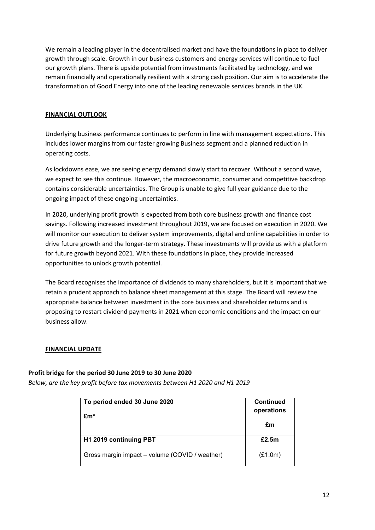We remain a leading player in the decentralised market and have the foundations in place to deliver growth through scale. Growth in our business customers and energy services will continue to fuel our growth plans. There is upside potential from investments facilitated by technology, and we remain financially and operationally resilient with a strong cash position. Our aim is to accelerate the transformation of Good Energy into one of the leading renewable services brands in the UK.

## **FINANCIAL OUTLOOK**

Underlying business performance continues to perform in line with management expectations. This includes lower margins from our faster growing Business segment and a planned reduction in operating costs.

As lockdowns ease, we are seeing energy demand slowly start to recover. Without a second wave, we expect to see this continue. However, the macroeconomic, consumer and competitive backdrop contains considerable uncertainties. The Group is unable to give full year guidance due to the ongoing impact of these ongoing uncertainties.

In 2020, underlying profit growth is expected from both core business growth and finance cost savings. Following increased investment throughout 2019, we are focused on execution in 2020. We will monitor our execution to deliver system improvements, digital and online capabilities in order to drive future growth and the longer-term strategy. These investments will provide us with a platform for future growth beyond 2021. With these foundations in place, they provide increased opportunities to unlock growth potential.

The Board recognises the importance of dividends to many shareholders, but it is important that we retain a prudent approach to balance sheet management at this stage. The Board will review the appropriate balance between investment in the core business and shareholder returns and is proposing to restart dividend payments in 2021 when economic conditions and the impact on our business allow.

## **FINANCIAL UPDATE**

## **Profit bridge for the period 30 June 2019 to 30 June 2020**

*Below, are the key profit before tax movements between H1 2020 and H1 2019*

| To period ended 30 June 2020<br>$Em*$          | <b>Continued</b><br>operations |
|------------------------------------------------|--------------------------------|
|                                                | £m                             |
| H <sub>1</sub> 2019 continuing PBT             | £2.5m                          |
| Gross margin impact - volume (COVID / weather) | (E1.0m)                        |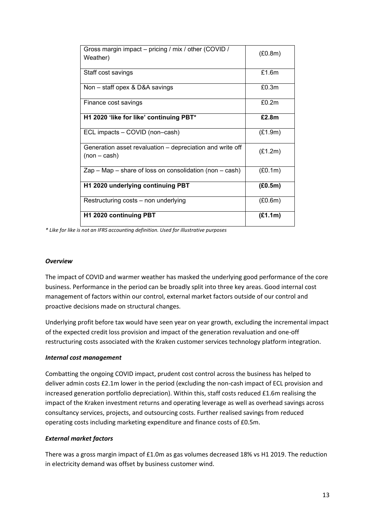| Gross margin impact – pricing / mix / other (COVID /<br>Weather)          | (E0.8m) |
|---------------------------------------------------------------------------|---------|
| Staff cost savings                                                        | £1.6m   |
| Non - staff opex & D&A savings                                            | £0.3m   |
| Finance cost savings                                                      | £0.2m   |
| H1 2020 'like for like' continuing PBT*                                   | £2.8m   |
| ECL impacts - COVID (non-cash)                                            | (E1.9m) |
| Generation asset revaluation - depreciation and write off<br>$(non-cash)$ | (E1.2m) |
| $Zap - Map - share of loss on convolution (non - cash)$                   | (E0.1m) |
| H1 2020 underlying continuing PBT                                         | (E0.5m) |
| Restructuring costs – non underlying                                      | (E0.6m) |
| H1 2020 continuing PBT                                                    | (E1.1m) |

*\* Like for like is not an IFRS accounting definition. Used for illustrative purposes*

#### *Overview*

The impact of COVID and warmer weather has masked the underlying good performance of the core business. Performance in the period can be broadly split into three key areas. Good internal cost management of factors within our control, external market factors outside of our control and proactive decisions made on structural changes.

Underlying profit before tax would have seen year on year growth, excluding the incremental impact of the expected credit loss provision and impact of the generation revaluation and one-off restructuring costs associated with the Kraken customer services technology platform integration.

#### *Internal cost management*

Combatting the ongoing COVID impact, prudent cost control across the business has helped to deliver admin costs £2.1m lower in the period (excluding the non-cash impact of ECL provision and increased generation portfolio depreciation). Within this, staff costs reduced £1.6m realising the impact of the Kraken investment returns and operating leverage as well as overhead savings across consultancy services, projects, and outsourcing costs. Further realised savings from reduced operating costs including marketing expenditure and finance costs of £0.5m.

#### *External market factors*

There was a gross margin impact of £1.0m as gas volumes decreased 18% vs H1 2019. The reduction in electricity demand was offset by business customer wind.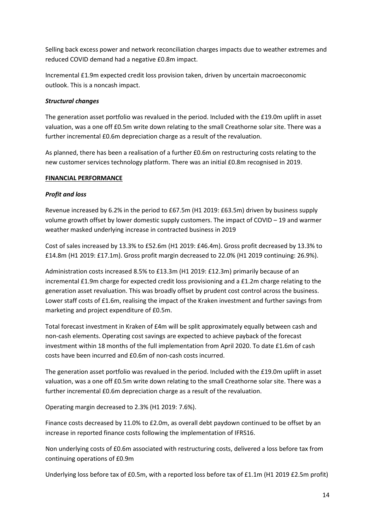Selling back excess power and network reconciliation charges impacts due to weather extremes and reduced COVID demand had a negative £0.8m impact.

Incremental £1.9m expected credit loss provision taken, driven by uncertain macroeconomic outlook. This is a noncash impact.

## *Structural changes*

The generation asset portfolio was revalued in the period. Included with the £19.0m uplift in asset valuation, was a one off £0.5m write down relating to the small Creathorne solar site. There was a further incremental £0.6m depreciation charge as a result of the revaluation.

As planned, there has been a realisation of a further £0.6m on restructuring costs relating to the new customer services technology platform. There was an initial £0.8m recognised in 2019.

#### **FINANCIAL PERFORMANCE**

#### *Profit and loss*

Revenue increased by 6.2% in the period to £67.5m (H1 2019: £63.5m) driven by business supply volume growth offset by lower domestic supply customers. The impact of COVID – 19 and warmer weather masked underlying increase in contracted business in 2019

Cost of sales increased by 13.3% to £52.6m (H1 2019: £46.4m). Gross profit decreased by 13.3% to £14.8m (H1 2019: £17.1m). Gross profit margin decreased to 22.0% (H1 2019 continuing: 26.9%).

Administration costs increased 8.5% to £13.3m (H1 2019: £12.3m) primarily because of an incremental £1.9m charge for expected credit loss provisioning and a £1.2m charge relating to the generation asset revaluation. This was broadly offset by prudent cost control across the business. Lower staff costs of £1.6m, realising the impact of the Kraken investment and further savings from marketing and project expenditure of £0.5m.

Total forecast investment in Kraken of £4m will be split approximately equally between cash and non-cash elements. Operating cost savings are expected to achieve payback of the forecast investment within 18 months of the full implementation from April 2020. To date £1.6m of cash costs have been incurred and £0.6m of non-cash costs incurred.

The generation asset portfolio was revalued in the period. Included with the £19.0m uplift in asset valuation, was a one off £0.5m write down relating to the small Creathorne solar site. There was a further incremental £0.6m depreciation charge as a result of the revaluation.

Operating margin decreased to 2.3% (H1 2019: 7.6%).

Finance costs decreased by 11.0% to £2.0m, as overall debt paydown continued to be offset by an increase in reported finance costs following the implementation of IFRS16.

Non underlying costs of £0.6m associated with restructuring costs, delivered a loss before tax from continuing operations of £0.9m

Underlying loss before tax of £0.5m, with a reported loss before tax of £1.1m (H1 2019 £2.5m profit)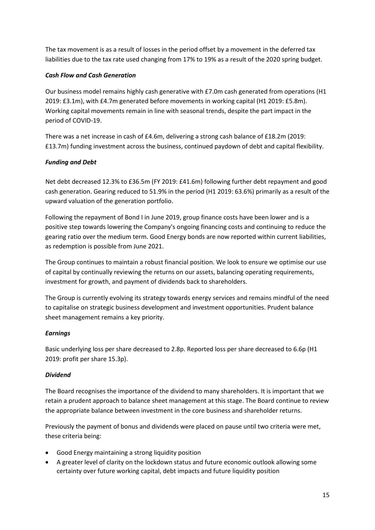The tax movement is as a result of losses in the period offset by a movement in the deferred tax liabilities due to the tax rate used changing from 17% to 19% as a result of the 2020 spring budget.

## *Cash Flow and Cash Generation*

Our business model remains highly cash generative with £7.0m cash generated from operations (H1 2019: £3.1m), with £4.7m generated before movements in working capital (H1 2019: £5.8m). Working capital movements remain in line with seasonal trends, despite the part impact in the period of COVID-19.

There was a net increase in cash of £4.6m, delivering a strong cash balance of £18.2m (2019: £13.7m) funding investment across the business, continued paydown of debt and capital flexibility.

## *Funding and Debt*

Net debt decreased 12.3% to £36.5m (FY 2019: £41.6m) following further debt repayment and good cash generation. Gearing reduced to 51.9% in the period (H1 2019: 63.6%) primarily as a result of the upward valuation of the generation portfolio.

Following the repayment of Bond I in June 2019, group finance costs have been lower and is a positive step towards lowering the Company's ongoing financing costs and continuing to reduce the gearing ratio over the medium term. Good Energy bonds are now reported within current liabilities, as redemption is possible from June 2021.

The Group continues to maintain a robust financial position. We look to ensure we optimise our use of capital by continually reviewing the returns on our assets, balancing operating requirements, investment for growth, and payment of dividends back to shareholders.

The Group is currently evolving its strategy towards energy services and remains mindful of the need to capitalise on strategic business development and investment opportunities. Prudent balance sheet management remains a key priority.

## *Earnings*

Basic underlying loss per share decreased to 2.8p. Reported loss per share decreased to 6.6p (H1 2019: profit per share 15.3p).

## *Dividend*

The Board recognises the importance of the dividend to many shareholders. It is important that we retain a prudent approach to balance sheet management at this stage. The Board continue to review the appropriate balance between investment in the core business and shareholder returns.

Previously the payment of bonus and dividends were placed on pause until two criteria were met, these criteria being:

- Good Energy maintaining a strong liquidity position
- A greater level of clarity on the lockdown status and future economic outlook allowing some certainty over future working capital, debt impacts and future liquidity position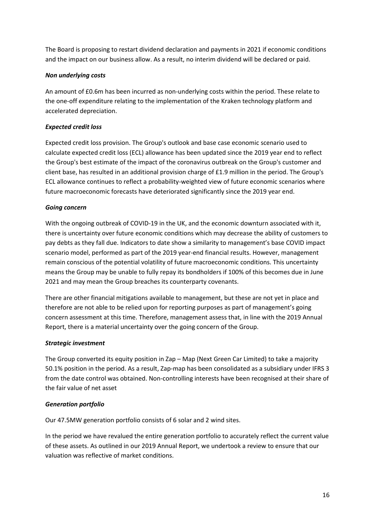The Board is proposing to restart dividend declaration and payments in 2021 if economic conditions and the impact on our business allow. As a result, no interim dividend will be declared or paid.

## *Non underlying costs*

An amount of £0.6m has been incurred as non-underlying costs within the period. These relate to the one-off expenditure relating to the implementation of the Kraken technology platform and accelerated depreciation.

## *Expected credit loss*

Expected credit loss provision. The Group's outlook and base case economic scenario used to calculate expected credit loss (ECL) allowance has been updated since the 2019 year end to reflect the Group's best estimate of the impact of the coronavirus outbreak on the Group's customer and client base, has resulted in an additional provision charge of £1.9 million in the period. The Group's ECL allowance continues to reflect a probability-weighted view of future economic scenarios where future macroeconomic forecasts have deteriorated significantly since the 2019 year end.

## *Going concern*

With the ongoing outbreak of COVID-19 in the UK, and the economic downturn associated with it, there is uncertainty over future economic conditions which may decrease the ability of customers to pay debts as they fall due. Indicators to date show a similarity to management's base COVID impact scenario model, performed as part of the 2019 year-end financial results. However, management remain conscious of the potential volatility of future macroeconomic conditions. This uncertainty means the Group may be unable to fully repay its bondholders if 100% of this becomes due in June 2021 and may mean the Group breaches its counterparty covenants.

There are other financial mitigations available to management, but these are not yet in place and therefore are not able to be relied upon for reporting purposes as part of management's going concern assessment at this time. Therefore, management assess that, in line with the 2019 Annual Report, there is a material uncertainty over the going concern of the Group.

## *Strategic investment*

The Group converted its equity position in Zap – Map (Next Green Car Limited) to take a majority 50.1% position in the period. As a result, Zap-map has been consolidated as a subsidiary under IFRS 3 from the date control was obtained. Non-controlling interests have been recognised at their share of the fair value of net asset

## *Generation portfolio*

Our 47.5MW generation portfolio consists of 6 solar and 2 wind sites.

In the period we have revalued the entire generation portfolio to accurately reflect the current value of these assets. As outlined in our 2019 Annual Report, we undertook a review to ensure that our valuation was reflective of market conditions.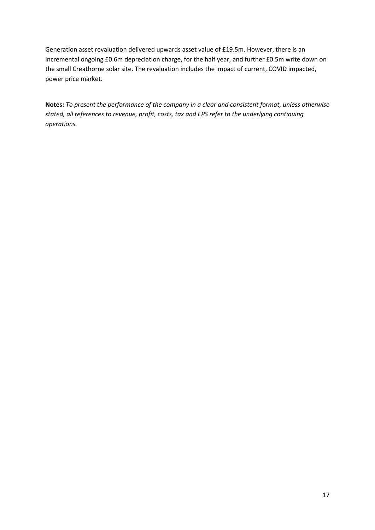Generation asset revaluation delivered upwards asset value of £19.5m. However, there is an incremental ongoing £0.6m depreciation charge, for the half year, and further £0.5m write down on the small Creathorne solar site. The revaluation includes the impact of current, COVID impacted, power price market.

**Notes:** *To present the performance of the company in a clear and consistent format, unless otherwise stated, all references to revenue, profit, costs, tax and EPS refer to the underlying continuing operations.*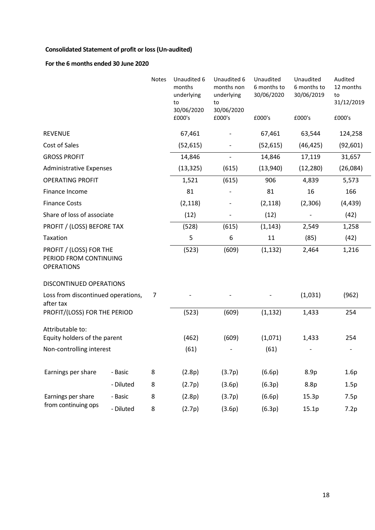# **Consolidated Statement of profit or loss(Un-audited)**

# **For the 6 months ended 30 June 2020**

|                                                                        |           | <b>Notes</b> | Unaudited 6<br>months<br>underlying<br>to<br>30/06/2020<br>£000's | Unaudited 6<br>months non<br>underlying<br>to<br>30/06/2020<br>£000's | Unaudited<br>6 months to<br>30/06/2020<br>£000's | Unaudited<br>6 months to<br>30/06/2019<br>£000's | Audited<br>12 months<br>to<br>31/12/2019<br>£000's |
|------------------------------------------------------------------------|-----------|--------------|-------------------------------------------------------------------|-----------------------------------------------------------------------|--------------------------------------------------|--------------------------------------------------|----------------------------------------------------|
|                                                                        |           |              |                                                                   |                                                                       |                                                  |                                                  |                                                    |
| <b>REVENUE</b>                                                         |           |              | 67,461                                                            |                                                                       | 67,461                                           | 63,544                                           | 124,258                                            |
| Cost of Sales                                                          |           |              | (52, 615)                                                         |                                                                       | (52, 615)                                        | (46, 425)                                        | (92, 601)                                          |
| <b>GROSS PROFIT</b>                                                    |           |              | 14,846                                                            |                                                                       | 14,846                                           | 17,119                                           | 31,657                                             |
| <b>Administrative Expenses</b>                                         |           |              | (13, 325)                                                         | (615)                                                                 | (13,940)                                         | (12, 280)                                        | (26,084)                                           |
| <b>OPERATING PROFIT</b>                                                |           |              | 1,521                                                             | (615)                                                                 | 906                                              | 4,839                                            | 5,573                                              |
| Finance Income                                                         |           |              | 81                                                                |                                                                       | 81                                               | 16                                               | 166                                                |
| <b>Finance Costs</b>                                                   |           |              | (2, 118)                                                          |                                                                       | (2, 118)                                         | (2,306)                                          | (4, 439)                                           |
| Share of loss of associate                                             |           |              | (12)                                                              |                                                                       | (12)                                             |                                                  | (42)                                               |
| PROFIT / (LOSS) BEFORE TAX                                             |           |              | (528)                                                             | (615)                                                                 | (1, 143)                                         | 2,549                                            | 1,258                                              |
| Taxation                                                               |           |              | 5                                                                 | 6                                                                     | 11                                               | (85)                                             | (42)                                               |
| PROFIT / (LOSS) FOR THE<br>PERIOD FROM CONTINUING<br><b>OPERATIONS</b> |           |              | (523)                                                             | (609)                                                                 | (1, 132)                                         | 2,464                                            | 1,216                                              |
| DISCONTINUED OPERATIONS                                                |           |              |                                                                   |                                                                       |                                                  |                                                  |                                                    |
| Loss from discontinued operations,<br>after tax                        |           | 7            |                                                                   |                                                                       |                                                  | (1,031)                                          | (962)                                              |
| PROFIT/(LOSS) FOR THE PERIOD                                           |           |              | (523)                                                             | (609)                                                                 | (1, 132)                                         | 1,433                                            | 254                                                |
| Attributable to:<br>Equity holders of the parent                       |           |              | (462)                                                             | (609)                                                                 | (1,071)                                          | 1,433                                            | 254                                                |
| Non-controlling interest                                               |           |              | (61)                                                              |                                                                       | (61)                                             |                                                  |                                                    |
| Earnings per share                                                     | - Basic   | 8            | (2.8p)                                                            | (3.7p)                                                                | (6.6p)                                           | 8.9p                                             | 1.6p                                               |
|                                                                        | - Diluted | 8            | (2.7p)                                                            | (3.6p)                                                                | (6.3p)                                           | 8.8p                                             | 1.5p                                               |
| Earnings per share                                                     | - Basic   | 8            | (2.8p)                                                            | (3.7p)                                                                | (6.6p)                                           | 15.3p                                            | 7.5p                                               |
| from continuing ops                                                    | - Diluted | 8            | (2.7p)                                                            | (3.6p)                                                                | (6.3p)                                           | 15.1p                                            | 7.2p                                               |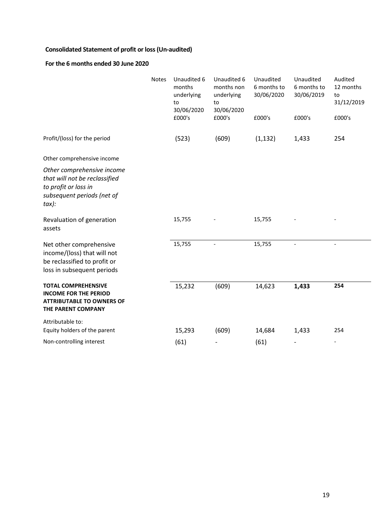# **Consolidated Statement of profit or loss(Un-audited)**

# **For the 6 months ended 30 June 2020**

|                                                                                                                            | Notes | Unaudited 6<br>months<br>underlying<br>to<br>30/06/2020 | Unaudited 6<br>months non<br>underlying<br>to<br>30/06/2020 | Unaudited<br>6 months to<br>30/06/2020 | Unaudited<br>6 months to<br>30/06/2019 | Audited<br>12 months<br>to<br>31/12/2019 |
|----------------------------------------------------------------------------------------------------------------------------|-------|---------------------------------------------------------|-------------------------------------------------------------|----------------------------------------|----------------------------------------|------------------------------------------|
|                                                                                                                            |       | £000's                                                  | £000's                                                      | £000's                                 | £000's                                 | £000's                                   |
| Profit/(loss) for the period                                                                                               |       | (523)                                                   | (609)                                                       | (1, 132)                               | 1,433                                  | 254                                      |
| Other comprehensive income                                                                                                 |       |                                                         |                                                             |                                        |                                        |                                          |
| Other comprehensive income<br>that will not be reclassified<br>to profit or loss in<br>subsequent periods (net of<br>tax): |       |                                                         |                                                             |                                        |                                        |                                          |
| Revaluation of generation<br>assets                                                                                        |       | 15,755                                                  |                                                             | 15,755                                 |                                        |                                          |
| Net other comprehensive<br>income/(loss) that will not<br>be reclassified to profit or<br>loss in subsequent periods       |       | 15,755                                                  |                                                             | 15,755                                 |                                        |                                          |
| <b>TOTAL COMPREHENSIVE</b><br><b>INCOME FOR THE PERIOD</b><br><b>ATTRIBUTABLE TO OWNERS OF</b><br>THE PARENT COMPANY       |       | 15,232                                                  | (609)                                                       | 14,623                                 | 1,433                                  | 254                                      |
| Attributable to:                                                                                                           |       |                                                         |                                                             |                                        |                                        |                                          |
| Equity holders of the parent                                                                                               |       | 15,293                                                  | (609)                                                       | 14,684                                 | 1,433                                  | 254                                      |
| Non-controlling interest                                                                                                   |       | (61)                                                    |                                                             | (61)                                   |                                        | $\overline{\phantom{a}}$                 |

 $\overline{\phantom{0}}$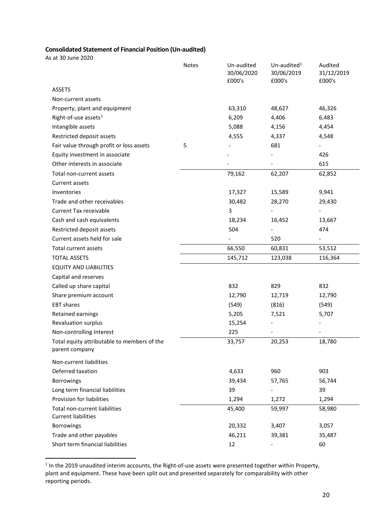# **Consolidated Statement of Financial Position (Un-audited)**

As at 30 June 2020

|                                                               | <b>Notes</b> | Un-audited<br>30/06/2020<br>£000's | Un-audited $1$<br>30/06/2019<br>£000's | Audited<br>31/12/2019<br>£000's |
|---------------------------------------------------------------|--------------|------------------------------------|----------------------------------------|---------------------------------|
| <b>ASSETS</b>                                                 |              |                                    |                                        |                                 |
| Non-current assets                                            |              |                                    |                                        |                                 |
| Property, plant and equipment                                 |              | 63,310                             | 48,627                                 | 46,326                          |
| Right-of-use assets <sup>1</sup>                              |              | 6,209                              | 4,406                                  | 6,483                           |
| Intangible assets                                             |              | 5,088                              | 4,156                                  | 4,454                           |
| Restricted deposit assets                                     |              | 4,555                              | 4,337                                  | 4,548                           |
| Fair value through profit or loss assets                      | 5            |                                    | 681                                    | $\overline{\phantom{0}}$        |
| Equity investment in associate                                |              |                                    |                                        | 426                             |
| Other interests in associate                                  |              |                                    |                                        | 615                             |
| Total non-current assets                                      |              | 79,162                             | 62,207                                 | 62,852                          |
| Current assets                                                |              |                                    |                                        |                                 |
| Inventories                                                   |              | 17,327                             | 15,589                                 | 9,941                           |
| Trade and other receivables                                   |              | 30,482                             | 28,270                                 | 29,430                          |
| <b>Current Tax receivable</b>                                 |              | 3                                  |                                        |                                 |
| Cash and cash equivalents                                     |              | 18,234                             | 16,452                                 | 13,667                          |
| Restricted deposit assets                                     |              | 504                                |                                        | 474                             |
| Current assets held for sale                                  |              |                                    | 520                                    |                                 |
| Total current assets                                          |              | 66,550                             | 60,831                                 | 53,512                          |
| <b>TOTAL ASSETS</b>                                           |              | 145,712                            | 123,038                                | 116,364                         |
| <b>EQUITY AND LIABILITIES</b>                                 |              |                                    |                                        |                                 |
| Capital and reserves                                          |              |                                    |                                        |                                 |
| Called up share capital                                       |              | 832                                | 829                                    | 832                             |
| Share premium account                                         |              | 12,790                             | 12,719                                 | 12,790                          |
| <b>EBT</b> shares                                             |              | (549)                              | (816)                                  | (549)                           |
| Retained earnings                                             |              | 5,205                              | 7,521                                  | 5,707                           |
| <b>Revaluation surplus</b>                                    |              | 15,254                             |                                        |                                 |
| Non-controlling Interest                                      |              | 225                                |                                        |                                 |
| Total equity attributable to members of the<br>parent company |              | 33,757                             | 20,253                                 | 18,780                          |
| Non-current liabilities                                       |              |                                    |                                        |                                 |
| Deferred taxation                                             |              | 4,633                              | 960                                    | 903                             |
| <b>Borrowings</b>                                             |              | 39,434                             | 57,765                                 | 56,744                          |
| Long term financial liabilities                               |              | 39                                 |                                        | 39                              |
| Provision for liabilities                                     |              | 1,294                              | 1,272                                  | 1,294                           |
| Total non-current liabilities<br><b>Current liabilities</b>   |              | 45,400                             | 59,997                                 | 58,980                          |
| <b>Borrowings</b>                                             |              | 20,332                             | 3,407                                  | 3,057                           |
| Trade and other payables                                      |              | 46,211                             | 39,381                                 | 35,487                          |
| Short term financial liabilities                              |              | 12                                 |                                        | 60                              |

<span id="page-20-0"></span> $<sup>1</sup>$  In the 2019 unaudited interim accounts, the Right-of-use assets were presented together within Property,</sup> plant and equipment. These have been split out and presented separately for comparability with other reporting periods.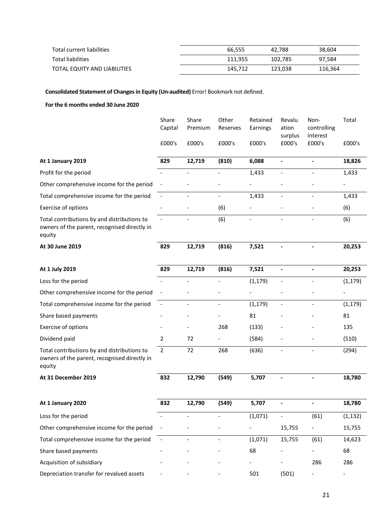| Total current liabilities    | 66.555  | 42.788  | 38,604  |
|------------------------------|---------|---------|---------|
| <b>Total liabilities</b>     | 111.955 | 102,785 | 97,584  |
| TOTAL EQUITY AND LIABILITIES | 145.712 | 123.038 | 116,364 |

**Consolidated Statement of Changes in Equity (Un-audited)** Error! Bookmark not defined.

#### **For the 6 months ended 30 June 2020**

|                                                                                                       | Share<br>Capital         | Share<br>Premium         | Other<br>Reserves        | Retained<br>Earnings     | Revalu<br>ation<br>surplus | Non-<br>controlling<br>interest | Total                    |
|-------------------------------------------------------------------------------------------------------|--------------------------|--------------------------|--------------------------|--------------------------|----------------------------|---------------------------------|--------------------------|
|                                                                                                       | £000's                   | £000's                   | £000's                   | £000's                   | £000's                     | £000's                          | £000's                   |
| At 1 January 2019                                                                                     | 829                      | 12,719                   | (810)                    | 6,088                    |                            |                                 | 18,826                   |
| Profit for the period                                                                                 |                          |                          |                          | 1,433                    |                            |                                 | 1,433                    |
| Other comprehensive income for the period                                                             |                          |                          |                          |                          |                            |                                 |                          |
| Total comprehensive income for the period                                                             | $\overline{\phantom{a}}$ |                          | $\overline{\phantom{a}}$ | 1,433                    |                            |                                 | 1,433                    |
| Exercise of options                                                                                   |                          |                          | (6)                      |                          |                            |                                 | (6)                      |
| Total contributions by and distributions to<br>owners of the parent, recognised directly in<br>equity | $\overline{\phantom{a}}$ | $\blacksquare$           | (6)                      | $\overline{\phantom{a}}$ | $\overline{\phantom{0}}$   | $\blacksquare$                  | (6)                      |
| At 30 June 2019                                                                                       | 829                      | 12,719                   | (816)                    | 7,521                    |                            | $\blacksquare$                  | 20,253                   |
| At 1 July 2019                                                                                        | 829                      | 12,719                   | (816)                    | 7,521                    | $\overline{\phantom{a}}$   | $\blacksquare$                  | 20,253                   |
| Loss for the period                                                                                   |                          |                          |                          | (1, 179)                 |                            |                                 | (1, 179)                 |
| Other comprehensive income for the period                                                             | $\overline{\phantom{a}}$ |                          |                          |                          |                            |                                 |                          |
| Total comprehensive income for the period                                                             | $\overline{\phantom{a}}$ |                          | $\overline{\phantom{a}}$ | (1, 179)                 | $\overline{\phantom{a}}$   |                                 | (1, 179)                 |
| Share based payments                                                                                  |                          |                          |                          | 81                       |                            |                                 | 81                       |
| Exercise of options                                                                                   |                          |                          | 268                      | (133)                    |                            |                                 | 135                      |
| Dividend paid                                                                                         | $\overline{2}$           | 72                       |                          | (584)                    |                            |                                 | (510)                    |
| Total contributions by and distributions to<br>owners of the parent, recognised directly in<br>equity | $\overline{2}$           | 72                       | 268                      | (636)                    |                            |                                 | (294)                    |
| At 31 December 2019                                                                                   | 832                      | 12,790                   | (549)                    | 5,707                    |                            |                                 | 18,780                   |
| At 1 January 2020                                                                                     | 832                      | 12,790                   | (549)                    | 5,707                    |                            |                                 | 18,780                   |
| Loss for the period                                                                                   |                          | $\overline{\phantom{a}}$ |                          | (1,071)                  |                            | (61)                            | (1, 132)                 |
| Other comprehensive income for the period                                                             |                          |                          |                          |                          | 15,755                     |                                 | 15,755                   |
| Total comprehensive income for the period                                                             | $\overline{\phantom{a}}$ | $\overline{\phantom{a}}$ |                          | (1,071)                  | 15,755                     | (61)                            | 14,623                   |
| Share based payments                                                                                  |                          |                          |                          | 68                       |                            |                                 | 68                       |
| Acquisition of subsidiary                                                                             |                          |                          |                          |                          |                            | 286                             | 286                      |
| Depreciation transfer for revalued assets                                                             |                          |                          |                          | 501                      | (501)                      | ۰.                              | $\overline{\phantom{a}}$ |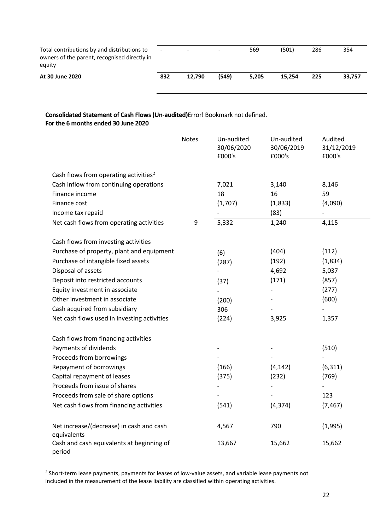| Total contributions by and distributions to<br>owners of the parent, recognised directly in<br>equity | $\overline{\phantom{0}}$ | $\overline{\phantom{0}}$ | $\overline{\phantom{0}}$ | 569   | (501)  | 286 | 354    |
|-------------------------------------------------------------------------------------------------------|--------------------------|--------------------------|--------------------------|-------|--------|-----|--------|
| At 30 June 2020                                                                                       | 832                      | 12,790                   | (549)                    | 5.205 | 15.254 | 225 | 33.757 |

## **Consolidated Statement of Cash Flows (Un-audited)**Error! Bookmark not defined. **For the 6 months ended 30 June 2020**

|                                                         | <b>Notes</b> | Un-audited<br>30/06/2020<br>£000's | Un-audited<br>30/06/2019<br>£000's | Audited<br>31/12/2019<br>£000's |
|---------------------------------------------------------|--------------|------------------------------------|------------------------------------|---------------------------------|
| Cash flows from operating activities <sup>2</sup>       |              |                                    |                                    |                                 |
| Cash inflow from continuing operations                  |              | 7,021                              | 3,140                              | 8,146                           |
| Finance income                                          |              | 18                                 | 16                                 | 59                              |
| Finance cost                                            |              | (1,707)                            | (1,833)                            | (4,090)                         |
| Income tax repaid                                       |              |                                    | (83)                               |                                 |
| Net cash flows from operating activities                | 9            | 5,332                              | 1,240                              | 4,115                           |
| Cash flows from investing activities                    |              |                                    |                                    |                                 |
| Purchase of property, plant and equipment               |              | (6)                                | (404)                              | (112)                           |
| Purchase of intangible fixed assets                     |              | (287)                              | (192)                              | (1,834)                         |
| Disposal of assets                                      |              |                                    | 4,692                              | 5,037                           |
| Deposit into restricted accounts                        |              | (37)                               | (171)                              | (857)                           |
| Equity investment in associate                          |              |                                    |                                    | (277)                           |
| Other investment in associate                           |              | (200)                              |                                    | (600)                           |
| Cash acquired from subsidiary                           |              | 306                                |                                    |                                 |
| Net cash flows used in investing activities             |              | (224)                              | 3,925                              | 1,357                           |
| Cash flows from financing activities                    |              |                                    |                                    |                                 |
| Payments of dividends                                   |              |                                    |                                    | (510)                           |
| Proceeds from borrowings                                |              |                                    |                                    |                                 |
| Repayment of borrowings                                 |              | (166)                              | (4, 142)                           | (6, 311)                        |
| Capital repayment of leases                             |              | (375)                              | (232)                              | (769)                           |
| Proceeds from issue of shares                           |              |                                    |                                    |                                 |
| Proceeds from sale of share options                     |              |                                    |                                    | 123                             |
| Net cash flows from financing activities                |              | (541)                              | (4, 374)                           | (7, 467)                        |
| Net increase/(decrease) in cash and cash<br>equivalents |              | 4,567                              | 790                                | (1,995)                         |
| Cash and cash equivalents at beginning of<br>period     |              | 13,667                             | 15,662                             | 15,662                          |

<span id="page-22-0"></span><sup>&</sup>lt;sup>2</sup> Short-term lease payments, payments for leases of low-value assets, and variable lease payments not included in the measurement of the lease liability are classified within operating activities.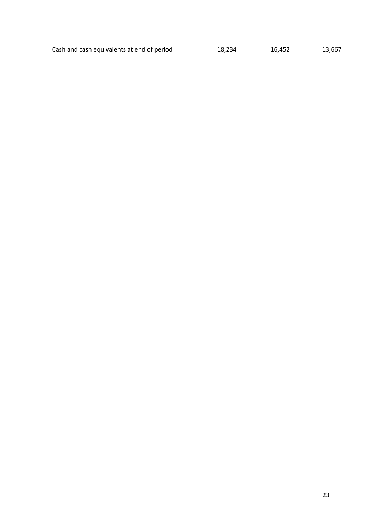Cash and cash equivalents at end of period 18,234 16,452 13,667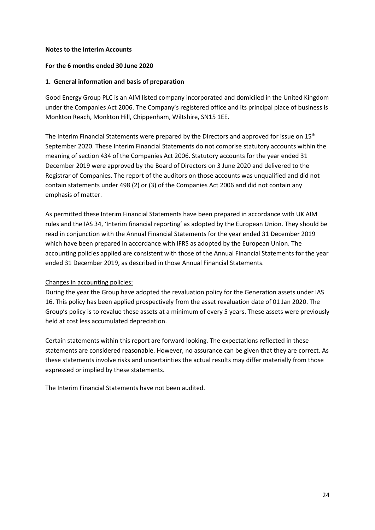#### **Notes to the Interim Accounts**

#### **For the 6 months ended 30 June 2020**

#### **1. General information and basis of preparation**

Good Energy Group PLC is an AIM listed company incorporated and domiciled in the United Kingdom under the Companies Act 2006. The Company's registered office and its principal place of business is Monkton Reach, Monkton Hill, Chippenham, Wiltshire, SN15 1EE.

The Interim Financial Statements were prepared by the Directors and approved for issue on 15<sup>th</sup> September 2020. These Interim Financial Statements do not comprise statutory accounts within the meaning of section 434 of the Companies Act 2006. Statutory accounts for the year ended 31 December 2019 were approved by the Board of Directors on 3 June 2020 and delivered to the Registrar of Companies. The report of the auditors on those accounts was unqualified and did not contain statements under 498 (2) or (3) of the Companies Act 2006 and did not contain any emphasis of matter.

As permitted these Interim Financial Statements have been prepared in accordance with UK AIM rules and the IAS 34, 'Interim financial reporting' as adopted by the European Union. They should be read in conjunction with the Annual Financial Statements for the year ended 31 December 2019 which have been prepared in accordance with IFRS as adopted by the European Union. The accounting policies applied are consistent with those of the Annual Financial Statements for the year ended 31 December 2019, as described in those Annual Financial Statements.

#### Changes in accounting policies:

During the year the Group have adopted the revaluation policy for the Generation assets under IAS 16. This policy has been applied prospectively from the asset revaluation date of 01 Jan 2020. The Group's policy is to revalue these assets at a minimum of every 5 years. These assets were previously held at cost less accumulated depreciation.

Certain statements within this report are forward looking. The expectations reflected in these statements are considered reasonable. However, no assurance can be given that they are correct. As these statements involve risks and uncertainties the actual results may differ materially from those expressed or implied by these statements.

The Interim Financial Statements have not been audited.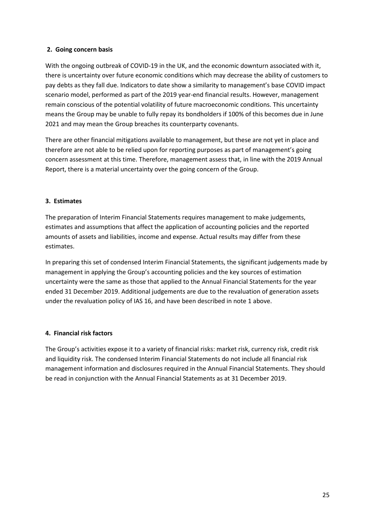## **2. Going concern basis**

With the ongoing outbreak of COVID-19 in the UK, and the economic downturn associated with it, there is uncertainty over future economic conditions which may decrease the ability of customers to pay debts as they fall due. Indicators to date show a similarity to management's base COVID impact scenario model, performed as part of the 2019 year-end financial results. However, management remain conscious of the potential volatility of future macroeconomic conditions. This uncertainty means the Group may be unable to fully repay its bondholders if 100% of this becomes due in June 2021 and may mean the Group breaches its counterparty covenants.

There are other financial mitigations available to management, but these are not yet in place and therefore are not able to be relied upon for reporting purposes as part of management's going concern assessment at this time. Therefore, management assess that, in line with the 2019 Annual Report, there is a material uncertainty over the going concern of the Group.

## **3. Estimates**

The preparation of Interim Financial Statements requires management to make judgements, estimates and assumptions that affect the application of accounting policies and the reported amounts of assets and liabilities, income and expense. Actual results may differ from these estimates.

In preparing this set of condensed Interim Financial Statements, the significant judgements made by management in applying the Group's accounting policies and the key sources of estimation uncertainty were the same as those that applied to the Annual Financial Statements for the year ended 31 December 2019. Additional judgements are due to the revaluation of generation assets under the revaluation policy of IAS 16, and have been described in note 1 above.

## **4. Financial risk factors**

The Group's activities expose it to a variety of financial risks: market risk, currency risk, credit risk and liquidity risk. The condensed Interim Financial Statements do not include all financial risk management information and disclosures required in the Annual Financial Statements. They should be read in conjunction with the Annual Financial Statements as at 31 December 2019.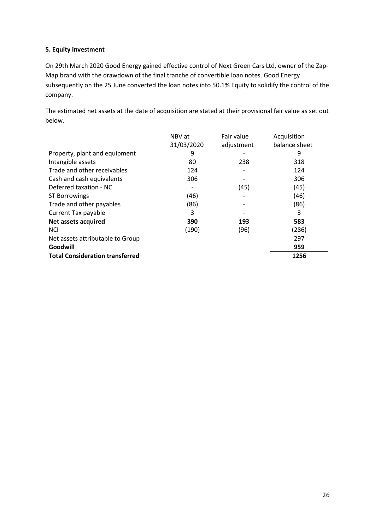## **5. Equity investment**

On 29th March 2020 Good Energy gained effective control of Next Green Cars Ltd, owner of the Zap-Map brand with the drawdown of the final tranche of convertible loan notes. Good Energy subsequently on the 25 June converted the loan notes into 50.1% Equity to solidify the control of the company.

The estimated net assets at the date of acquisition are stated at their provisional fair value as set out below.

|                                        | NBV at     | Fair value | Acquisition   |
|----------------------------------------|------------|------------|---------------|
|                                        | 31/03/2020 | adjustment | balance sheet |
| Property, plant and equipment          | 9          |            | 9             |
| Intangible assets                      | 80         | 238        | 318           |
| Trade and other receivables            | 124        |            | 124           |
| Cash and cash equivalents              | 306        |            | 306           |
| Deferred taxation - NC                 |            | (45)       | (45)          |
| <b>ST Borrowings</b>                   | (46)       |            | (46)          |
| Trade and other payables               | (86)       |            | (86)          |
| Current Tax payable                    | 3          |            | 3             |
| Net assets acquired                    | 390        | 193        | 583           |
| <b>NCI</b>                             | (190)      | (96)       | (286)         |
| Net assets attributable to Group       |            |            | 297           |
| Goodwill                               |            |            | 959           |
| <b>Total Consideration transferred</b> |            |            | 1256          |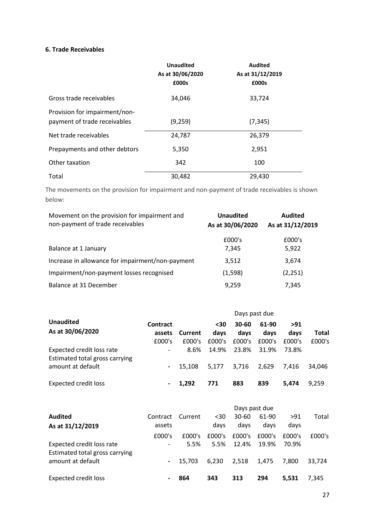## **6. Trade Receivables**

|                                                               | <b>Unaudited</b><br>As at 30/06/2020<br>£000s | <b>Audited</b><br>As at 31/12/2019<br>£000s |
|---------------------------------------------------------------|-----------------------------------------------|---------------------------------------------|
| Gross trade receivables                                       | 34,046                                        | 33,724                                      |
| Provision for impairment/non-<br>payment of trade receivables | (9,259)                                       | (7, 345)                                    |
| Net trade receivables                                         | 24,787                                        | 26,379                                      |
| Prepayments and other debtors                                 | 5,350                                         | 2,951                                       |
| Other taxation                                                | 342                                           | 100                                         |
| Total                                                         | 30,482                                        | 29,430                                      |

The movements on the provision for impairment and non-payment of trade receivables is shown below:

| Movement on the provision for impairment and<br>non-payment of trade receivables | <b>Unaudited</b><br>As at 30/06/2020 | <b>Audited</b><br>As at 31/12/2019 |  |  |
|----------------------------------------------------------------------------------|--------------------------------------|------------------------------------|--|--|
| Balance at 1 January                                                             | £000's<br>7,345                      | £000's<br>5,922                    |  |  |
| Increase in allowance for impairment/non-payment                                 | 3.512                                | 3,674                              |  |  |
| Impairment/non-payment losses recognised                                         | (1,598)                              | (2,251)                            |  |  |
| Balance at 31 December                                                           | 9,259                                | 7,345                              |  |  |

|                                                                                  |                              |                   | Days past due         |                         |                         |                       |                 |  |
|----------------------------------------------------------------------------------|------------------------------|-------------------|-----------------------|-------------------------|-------------------------|-----------------------|-----------------|--|
| <b>Unaudited</b><br>As at 30/06/2020                                             | Contract<br>assets<br>£000's | Current<br>£000's | <30<br>days<br>£000's | 30-60<br>days<br>£000's | 61-90<br>davs<br>£000's | >91<br>days<br>£000's | Total<br>£000's |  |
| Expected credit loss rate<br>Estimated total gross carrying<br>amount at default | -<br>$\blacksquare$          | 8.6%<br>15.108    | 14.9%<br>5.177        | 23.8%<br>3,716          | 31.9%<br>2,629          | 73.8%<br>7.416        | 34.046          |  |
| <b>Expected credit loss</b>                                                      |                              | 1.292             | 771                   | 883                     | 839                     | 5.474                 | 9.259           |  |

|                                                             | Days past due            |         |        |        |        |        |        |
|-------------------------------------------------------------|--------------------------|---------|--------|--------|--------|--------|--------|
| <b>Audited</b>                                              | Contract                 | Current | $30$   | 30-60  | 61-90  | >91    | Total  |
| As at 31/12/2019                                            | assets                   |         | days   | davs   | davs   | days   |        |
|                                                             | £000's                   | £000's  | £000's | £000's | £000's | £000's | £000's |
| Expected credit loss rate<br>Estimated total gross carrying | $\overline{\phantom{a}}$ | 5.5%    | 5.5%   | 12.4%  | 19.9%  | 70.9%  |        |
| amount at default                                           |                          | 15.703  | 6.230  | 2.518  | 1.475  | 7.800  | 33.724 |
| <b>Expected credit loss</b>                                 |                          | 864     | 343    | 313    | 294    | 5.531  | 7.345  |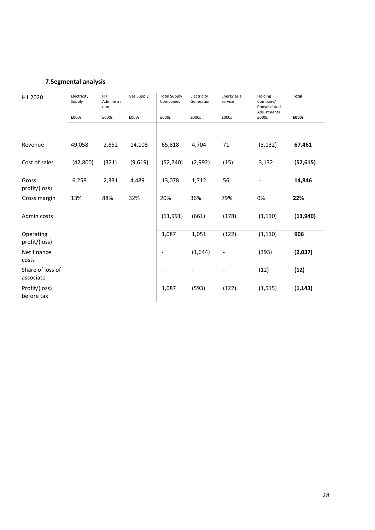# **7.Segmental analysis**

| H1 2020                       | Electricity<br>Supply | FIT<br>Administra<br>tion | Gas Supply | <b>Total Supply</b><br>Companies | Electricity<br>Generation | Energy as a<br>service | Holding<br>Company/<br>Consolidated<br>Adjustments | Total     |
|-------------------------------|-----------------------|---------------------------|------------|----------------------------------|---------------------------|------------------------|----------------------------------------------------|-----------|
|                               | £000s                 | £000s                     | £000s      | £000s                            | £000s                     | £000s                  | £000s                                              | £000s     |
| Revenue                       | 49,058                | 2,652                     | 14,108     | 65,818                           | 4,704                     | 71                     | (3, 132)                                           | 67,461    |
| Cost of sales                 | (42, 800)             | (321)                     | (9,619)    | (52, 740)                        | (2,992)                   | (15)                   | 3,132                                              | (52, 615) |
| Gross<br>profit/(loss)        | 6,258                 | 2,331                     | 4,489      | 13,078                           | 1,712                     | 56                     |                                                    | 14,846    |
| Gross margin                  | 13%                   | 88%                       | 32%        | 20%                              | 36%                       | 79%                    | 0%                                                 | 22%       |
| Admin costs                   |                       |                           |            | (11,991)                         | (661)                     | (178)                  | (1, 110)                                           | (13, 940) |
| Operating<br>profit/(loss)    |                       |                           |            | 1,087                            | 1,051                     | (122)                  | (1, 110)                                           | 906       |
| Net finance<br>costs          |                       |                           |            | $\overline{\phantom{a}}$         | (1,644)                   |                        | (393)                                              | (2,037)   |
| Share of loss of<br>associate |                       |                           |            |                                  |                           |                        | (12)                                               | (12)      |
| Profit/(loss)<br>before tax   |                       |                           |            | 1,087                            | (593)                     | (122)                  | (1, 515)                                           | (1, 143)  |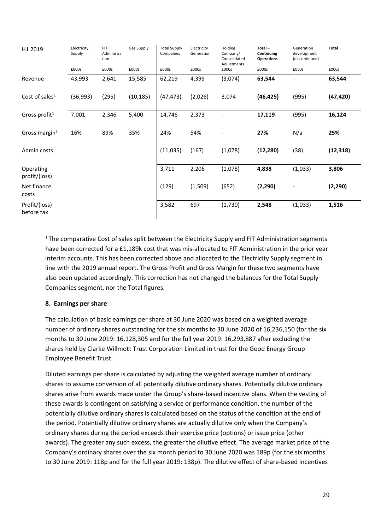| H1 2019                     | Electricity<br>Supply | <b>FIT</b><br>Administra<br>tion | Gas Supply | <b>Total Supply</b><br>Companies | Electricity<br>Generation | Holding<br>Company/<br>Consolidated<br>Adjustments | $Total -$<br>Continuing<br><b>Operations</b> | Generation<br>development<br>(discontinued) | Total     |
|-----------------------------|-----------------------|----------------------------------|------------|----------------------------------|---------------------------|----------------------------------------------------|----------------------------------------------|---------------------------------------------|-----------|
|                             | £000s                 | £000s                            | £000s      | £000s                            | £000s                     | £000s                                              | £000s                                        | £000s                                       | £000s     |
| Revenue                     | 43,993                | 2,641                            | 15,585     | 62,219                           | 4,399                     | (3,074)                                            | 63,544                                       |                                             | 63,544    |
| Cost of sales <sup>1</sup>  | (36,993)              | (295)                            | (10, 185)  | (47, 473)                        | (2,026)                   | 3,074                                              | (46, 425)                                    | (995)                                       | (47, 420) |
| Gross profit <sup>1</sup>   | 7,001                 | 2,346                            | 5,400      | 14,746                           | 2,373                     | $\overline{\phantom{a}}$                           | 17,119                                       | (995)                                       | 16,124    |
| Gross margin $1$            | 16%                   | 89%                              | 35%        | 24%                              | 54%                       |                                                    | 27%                                          | N/a                                         | 25%       |
| Admin costs                 |                       |                                  |            | (11,035)                         | (167)                     | (1,078)                                            | (12, 280)                                    | (38)                                        | (12, 318) |
| Operating<br>profit/(loss)  |                       |                                  |            | 3,711                            | 2,206                     | (1,078)                                            | 4,838                                        | (1,033)                                     | 3,806     |
| Net finance<br>costs        |                       |                                  |            | (129)                            | (1,509)                   | (652)                                              | (2, 290)                                     | $\overline{\phantom{a}}$                    | (2, 290)  |
| Profit/(loss)<br>before tax |                       |                                  |            | 3,582                            | 697                       | (1,730)                                            | 2,548                                        | (1,033)                                     | 1,516     |

<sup>1</sup> The comparative Cost of sales split between the Electricity Supply and FIT Administration segments have been corrected for a £1,189k cost that was mis-allocated to FIT Administration in the prior year interim accounts. This has been corrected above and allocated to the Electricity Supply segment in line with the 2019 annual report. The Gross Profit and Gross Margin for these two segments have also been updated accordingly. This correction has not changed the balances for the Total Supply Companies segment, nor the Total figures.

## **8. Earnings per share**

The calculation of basic earnings per share at 30 June 2020 was based on a weighted average number of ordinary shares outstanding for the six months to 30 June 2020 of 16,236,150 (for the six months to 30 June 2019: 16,128,305 and for the full year 2019: 16,293,887 after excluding the shares held by Clarke Willmott Trust Corporation Limited in trust for the Good Energy Group Employee Benefit Trust.

Diluted earnings per share is calculated by adjusting the weighted average number of ordinary shares to assume conversion of all potentially dilutive ordinary shares. Potentially dilutive ordinary shares arise from awards made under the Group's share-based incentive plans. When the vesting of these awards is contingent on satisfying a service or performance condition, the number of the potentially dilutive ordinary shares is calculated based on the status of the condition at the end of the period. Potentially dilutive ordinary shares are actually dilutive only when the Company's ordinary shares during the period exceeds their exercise price (options) or issue price (other awards). The greater any such excess, the greater the dilutive effect. The average market price of the Company's ordinary shares over the six month period to 30 June 2020 was 189p (for the six months to 30 June 2019: 118p and for the full year 2019: 138p). The dilutive effect of share-based incentives